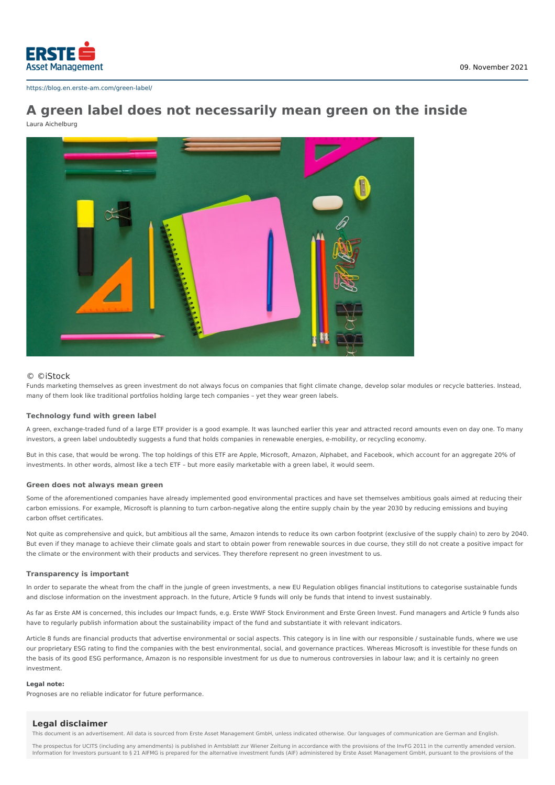

### https://blog.en.erste-am.com/green-label/

# **A green label does not necessarily mean green on the inside**

Laura Aichelburg



## © ©iStock

Funds marketing themselves as green investment do not always focus on companies that fight climate change, develop solar modules or recycle batteries. Instead, many of them look like traditional portfolios holding large tech companies – yet they wear green labels.

# **Technology fund with green label**

A green, exchange-traded fund of a large ETF provider is a good example. It was launched earlier this year and attracted record amounts even on day one. To many investors, a green label undoubtedly suggests a fund that holds companies in renewable energies, e-mobility, or recycling economy.

But in this case, that would be wrong. The top holdings of this ETF are Apple, Microsoft, Amazon, Alphabet, and Facebook, which account for an aggregate 20% of investments. In other words, almost like a tech ETF – but more easily marketable with a green label, it would seem.

#### **Green does not always mean green**

Some of the aforementioned companies have already implemented good environmental practices and have set themselves ambitious goals aimed at reducing their carbon emissions. For example, Microsoft is planning to turn carbon-negative along the entire supply chain by the year 2030 by reducing emissions and buying carbon offset certificates.

Not quite as comprehensive and quick, but ambitious all the same, Amazon intends to reduce its own carbon footprint (exclusive of the supply chain) to zero by 2040. But even if they manage to achieve their climate goals and start to obtain power from renewable sources in due course, they still do not create a positive impact for the climate or the environment with their products and services. They therefore represent no green investment to us.

## **Transparency is important**

In order to separate the wheat from the chaff in the jungle of green investments, a new EU Regulation obliges financial institutions to categorise sustainable funds and disclose information on the investment approach. In the future, Article 9 funds will only be funds that intend to invest sustainably.

As far as Erste AM is concerned, this includes our Impact funds, e.g. Erste WWF Stock Environment and Erste Green Invest. Fund managers and Article 9 funds also have to regularly publish information about the sustainability impact of the fund and substantiate it with relevant indicators.

Article 8 funds are financial products that advertise environmental or social aspects. This category is in line with our responsible / sustainable funds, where we use our proprietary ESG rating to find the companies with the best environmental, social, and governance practices. Whereas Microsoft is investible for these funds on the basis of its good ESG performance, Amazon is no responsible investment for us due to numerous controversies in labour law; and it is certainly no green investment.

#### **Legal note:**

Prognoses are no reliable indicator for future performance.

## **Legal disclaimer**

This document is an advertisement. All data is sourced from Erste Asset Management GmbH, unless indicated otherwise. Our languages of communication are German and English.

The prospectus for UCITS (including any amendments) is published in Amtsblatt zur Wiener Zeitung in accordance with the provisions of the InvFG 2011 in the currently amended version.<br>Information for Investors pursuant to§2